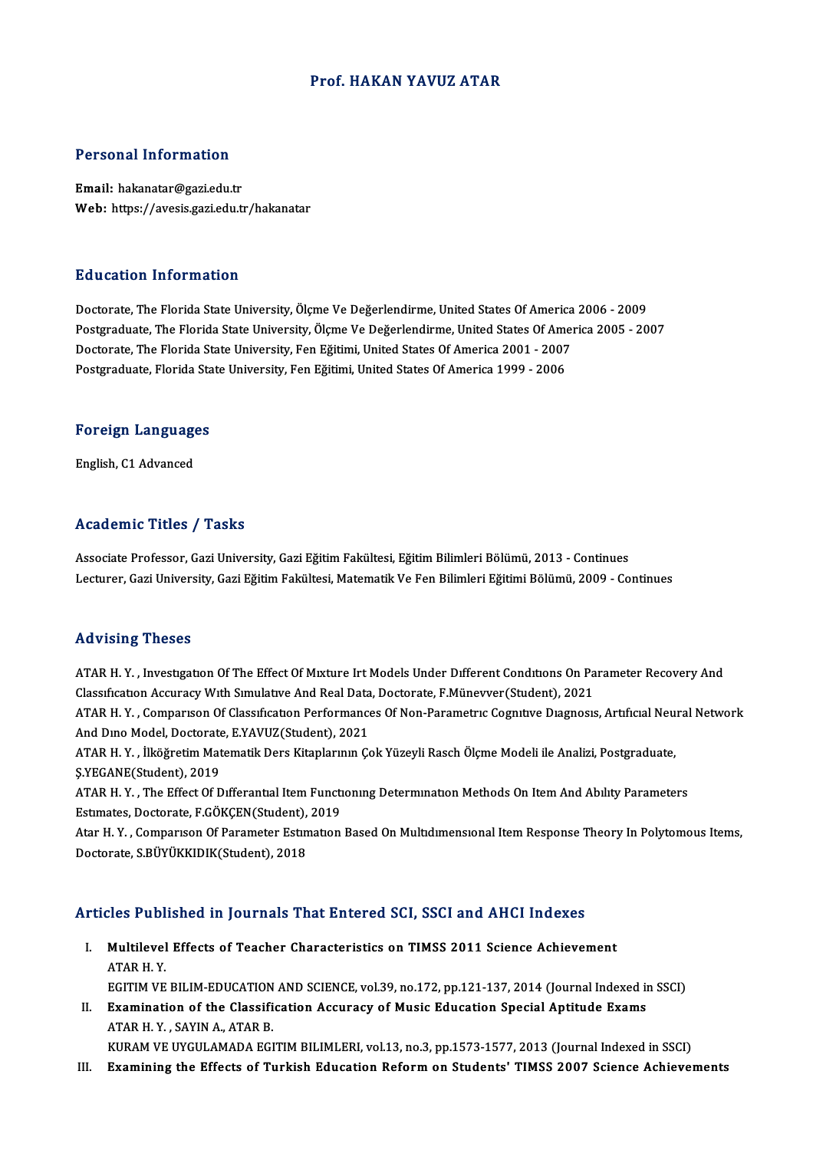### Prof.HAKAN YAVUZ ATAR

### Personal Information

Email: hakanatar@gazi.edu.tr Web: https://avesis.gazi.edu.tr/hakanatar

### Education Information

Doctorate, The Florida State University, Ölçme Ve Değerlendirme, United States Of America 2006 - 2009 Postgraduate, The Florida State University, Ölçme Ve Değerlendirme, United States Of America 2005 - 2007 Doctorate, The Florida State University, Ölçme Ve Değerlendirme, United States Of America<br>Postgraduate, The Florida State University, Ölçme Ve Değerlendirme, United States Of America<br>Doctorate, The Florida State University Postgraduate, The Florida State University, Ölçme Ve Değerlendirme, United States Of Ame<br>Doctorate, The Florida State University, Fen Eğitimi, United States Of America 2001 - 2007<br>Postgraduate, Florida State University, Fe

# rosigraduate, riorida sta<br>**Foreign Languages** F<mark>oreign Languag</mark>e<br>English, C1 Advanced

# English, C1 Advanced<br>Academic Titles / Tasks

Academic Titles / Tasks<br>Associate Professor, Gazi University, Gazi Eğitim Fakültesi, Eğitim Bilimleri Bölümü, 2013 - Continues<br>Lecturer Cazi University, Cazi Eğitim Fakültesi, Matematik Ve Fen Bilimleri Fğitimi Bölümü, 200 110aa SIII verser, Tasiler<br>Associate Professor, Gazi University, Gazi Eğitim Fakültesi, Eğitim Bilimleri Bölümü, 2013 - Continues<br>Lecturer, Gazi University, Gazi Eğitim Fakültesi, Matematik Ve Fen Bilimleri Eğitimi Bölümü, Lecturer, Gazi University, Gazi Eğitim Fakültesi, Matematik Ve Fen Bilimleri Eğitimi Bölümü, 2009 - Continues<br>Advising Theses

Advising Theses<br>ATAR H.Y. , Investigation Of The Effect Of Mixture Irt Models Under Different Conditions On Parameter Recovery And<br>Classification Assumesy With Simulative And Peal Data Destancte E Müneywor(Student), 2021 THE VISING TIRBER<br>ATAR H. Y. , Investigation Of The Effect Of Mixture Irt Models Under Different Conditions On Pa<br>Classification Accuracy With Simulative And Real Data, Doctorate, F.Münevver(Student), 2021<br>ATAP H. Y. . Com ATAR H. Y. , Investigation Of The Effect Of Mixture Irt Models Under Different Conditions On Parameter Recovery And<br>Classification Accuracy With Simulative And Real Data, Doctorate, F.Münevver(Student), 2021<br>ATAR H. Y. , C

Classification Accuracy With Simulative And Real Data<br>ATAR H. Y. , Comparison Of Classification Performance<br>And Dino Model, Doctorate, E.YAVUZ(Student), 2021<br>ATAR H. Y. , <sup>Ilitä</sup>žnetin Matematik Dere Kitaplannin Go ATAR H. Y. , Comparison Of Classification Performances Of Non-Parametric Cognitive Diagnosis, Artificial Neu:<br>And Dino Model, Doctorate, E.YAVUZ(Student), 2021<br>ATAR H. Y. , İlköğretim Matematik Ders Kitaplarının Çok Yüzeyl

And Dino Model, Doctorate<br>ATAR H. Y. , İlköğretim Mat<br>Ş.YEGANE(Student), 2019<br>ATAR H. Y. - The Effect Of D ATAR H. Y. , İlköğretim Matematik Ders Kitaplarının Çok Yüzeyli Rasch Ölçme Modeli ile Analizi, Postgraduate,<br>Ş.YEGANE(Student), 2019<br>ATAR H. Y. , The Effect Of Differantial Item Functioning Determination Methods On Item A

S.YEGANE(Student), 2019<br>ATAR H. Y. , The Effect Of Differantial Item Functi<br>Estimates, Doctorate, F.GÖKÇEN(Student), 2019<br>Atar H. Y., Companison Of Parameter Estimation

ATAR H.Y., The Effect Of Differantial Item Functioning Determination Methods On Item And Ability Parameters<br>Estimates, Doctorate, F.GÖKÇEN(Student), 2019<br>Atar H.Y., Comparison Of Parameter Estimation Based On Multidimensio Estimates, Doctorate, F.GÖKÇEN(Student),<br>Atar H. Y. , Comparison Of Parameter Estin<br>Doctorate, S.BÜYÜKKIDIK(Student), 2018

# Articles Published in Journals That Entered SCI, SSCI and AHCI Indexes

- rticles Published in Journals That Entered SCI, SSCI and AHCI Indexes<br>I. Multilevel Effects of Teacher Characteristics on TIMSS 2011 Science Achievement<br>ATAP H Y Multilevel Effects of Teacher Characteristics on TIMSS 2011 Science Achievement<br>ATAR H.Y. EGITIM VE BILIM-EDUCATION AND SCIENCE, vol.39, no.172, pp.121-137, 2014 (Journal Indexed in SSCI)
- ATAR H.Y.<br>EGITIM VE BILIM-EDUCATION AND SCIENCE, vol.39, no.172, pp.121-137, 2014 (Journal Indexed in<br>II. Examination of the Classification Accuracy of Music Education Special Aptitude Exams<br>ATARH V. SAVIN A ATAR R EGITIM VE BILIM-EDUCATION<br>Examination of the Classifi<br>ATAR H.Y. , SAYIN A., ATAR B.<br>KURAM VE UVCULAMADA EGI ATAR H. Y. , SAYIN A., ATAR B.<br>KURAM VE UYGULAMADA EGITIM BILIMLERI, vol.13, no.3, pp.1573-1577, 2013 (Journal Indexed in SSCI)

III. Examining the Effects of Turkish Education Reform on Students' TIMSS 2007 Science Achievements